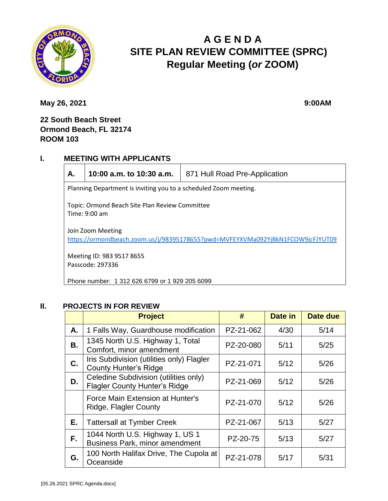

# **A G E N D A SITE PLAN REVIEW COMMITTEE (SPRC) Regular Meeting (***or* **ZOOM)**

**May 26, 2021** 9:00AM

## **22 South Beach Street Ormond Beach, FL 32174 ROOM 103**

#### **I. MEETING WITH APPLICANTS**



**A. 10:00 a.m. to 10:30 a.m.** 871 Hull Road Pre-Application

Planning Department is inviting you to a scheduled Zoom meeting.

Topic: Ormond Beach Site Plan Review Committee Time: 9:00 am

Join Zoom Meeting <https://ormondbeach.zoom.us/j/98395178655?pwd=MVFEYXVMa092YjBkN1FCOW9jcFJYUT09>

Meeting ID: 983 9517 8655 Passcode: 297336

Phone number: 1 312 626 6799 or 1 929 205 6099

#### **II. PROJECTS IN FOR REVIEW**

|    | <b>Project</b>                                                                | #         | Date in | Date due |
|----|-------------------------------------------------------------------------------|-----------|---------|----------|
| А. | 1 Falls Way, Guardhouse modification                                          | PZ-21-062 | 4/30    | 5/14     |
| В. | 1345 North U.S. Highway 1, Total<br>Comfort, minor amendment                  | PZ-20-080 | 5/11    | 5/25     |
| C. | Iris Subdivision (utilities only) Flagler<br><b>County Hunter's Ridge</b>     | PZ-21-071 | 5/12    | 5/26     |
| D. | Celedine Subdivision (utilities only)<br><b>Flagler County Hunter's Ridge</b> | PZ-21-069 | 5/12    | 5/26     |
|    | Force Main Extension at Hunter's<br>Ridge, Flagler County                     | PZ-21-070 | 5/12    | 5/26     |
| Е. | <b>Tattersall at Tymber Creek</b>                                             | PZ-21-067 | 5/13    | 5/27     |
| F. | 1044 North U.S. Highway 1, US 1<br>Business Park, minor amendment             | PZ-20-75  | 5/13    | 5/27     |
| G. | 100 North Halifax Drive, The Cupola at<br>Oceanside                           | PZ-21-078 | 5/17    | 5/31     |